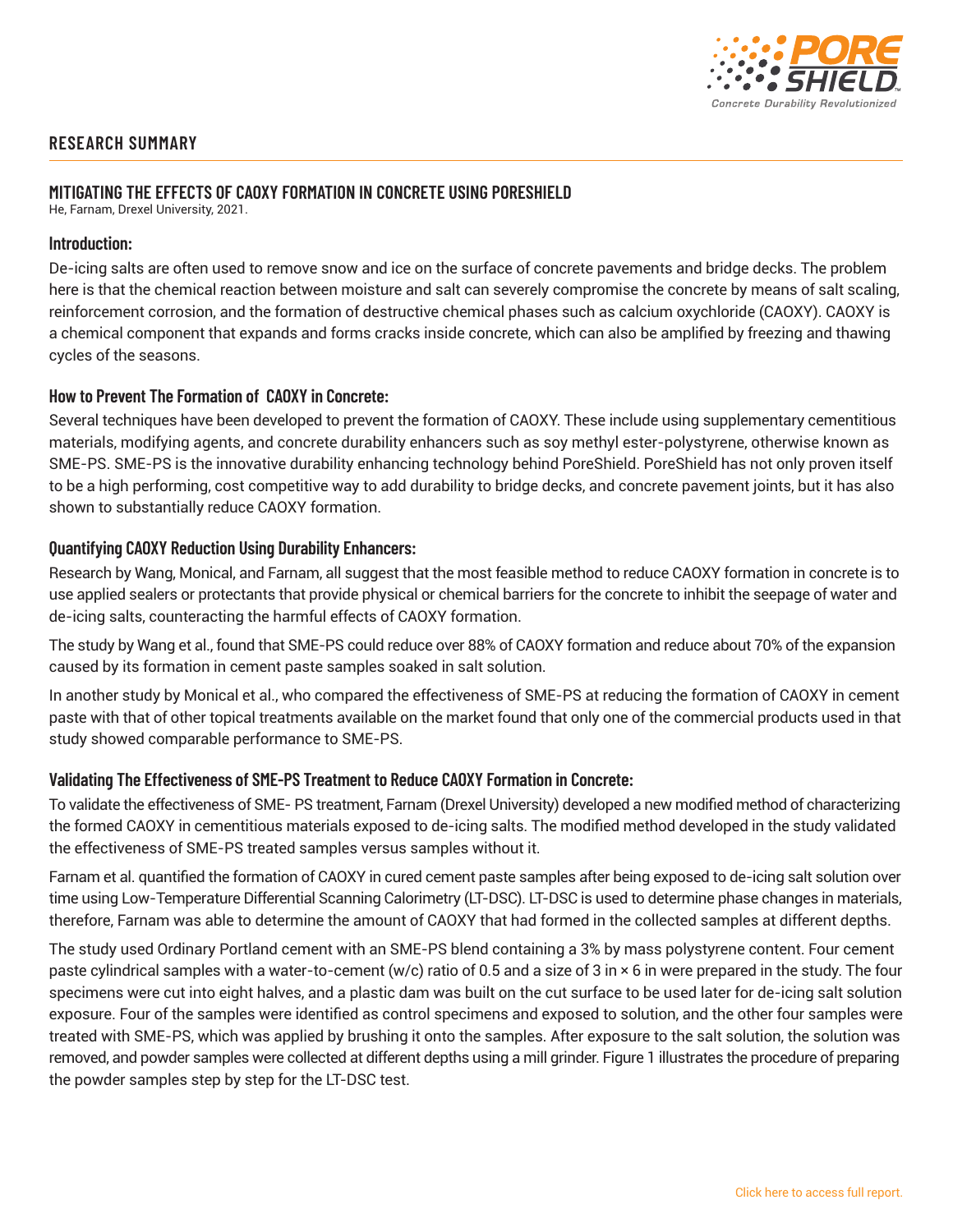

# **RESEARCH SUMMARY**

## **MITIGATING THE EFFECTS OF CAOXY FORMATION IN CONCRETE USING PORESHIELD**

He, Farnam, Drexel University, 2021.

### **Introduction:**

De-icing salts are often used to remove snow and ice on the surface of concrete pavements and bridge decks. The problem here is that the chemical reaction between moisture and salt can severely compromise the concrete by means of salt scaling, reinforcement corrosion, and the formation of destructive chemical phases such as calcium oxychloride (CAOXY). CAOXY is a chemical component that expands and forms cracks inside concrete, which can also be amplified by freezing and thawing cycles of the seasons.

## **How to Prevent The Formation of CAOXY in Concrete:**

Several techniques have been developed to prevent the formation of CAOXY. These include using supplementary cementitious materials, modifying agents, and concrete durability enhancers such as soy methyl ester-polystyrene, otherwise known as SME-PS. SME-PS is the innovative durability enhancing technology behind PoreShield. PoreShield has not only proven itself to be a high performing, cost competitive way to add durability to bridge decks, and concrete pavement joints, but it has also shown to substantially reduce CAOXY formation.

### **Quantifying CAOXY Reduction Using Durability Enhancers:**

Research by Wang, Monical, and Farnam, all suggest that the most feasible method to reduce CAOXY formation in concrete is to use applied sealers or protectants that provide physical or chemical barriers for the concrete to inhibit the seepage of water and de-icing salts, counteracting the harmful effects of CAOXY formation.

The study by Wang et al., found that SME-PS could reduce over 88% of CAOXY formation and reduce about 70% of the expansion caused by its formation in cement paste samples soaked in salt solution.

In another study by Monical et al., who compared the effectiveness of SME-PS at reducing the formation of CAOXY in cement paste with that of other topical treatments available on the market found that only one of the commercial products used in that study showed comparable performance to SME-PS.

#### **Validating The Effectiveness of SME-PS Treatment to Reduce CAOXY Formation in Concrete:**

To validate the effectiveness of SME- PS treatment, Farnam (Drexel University) developed a new modified method of characterizing the formed CAOXY in cementitious materials exposed to de-icing salts. The modified method developed in the study validated the effectiveness of SME-PS treated samples versus samples without it.

Farnam et al. quantified the formation of CAOXY in cured cement paste samples after being exposed to de-icing salt solution over time using Low-Temperature Differential Scanning Calorimetry (LT-DSC). LT-DSC is used to determine phase changes in materials, therefore, Farnam was able to determine the amount of CAOXY that had formed in the collected samples at different depths.

The study used Ordinary Portland cement with an SME-PS blend containing a 3% by mass polystyrene content. Four cement paste cylindrical samples with a water-to-cement (w/c) ratio of 0.5 and a size of 3 in × 6 in were prepared in the study. The four specimens were cut into eight halves, and a plastic dam was built on the cut surface to be used later for de-icing salt solution exposure. Four of the samples were identified as control specimens and exposed to solution, and the other four samples were treated with SME-PS, which was applied by brushing it onto the samples. After exposure to the salt solution, the solution was removed, and powder samples were collected at different depths using a mill grinder. Figure 1 illustrates the procedure of preparing the powder samples step by step for the LT-DSC test.